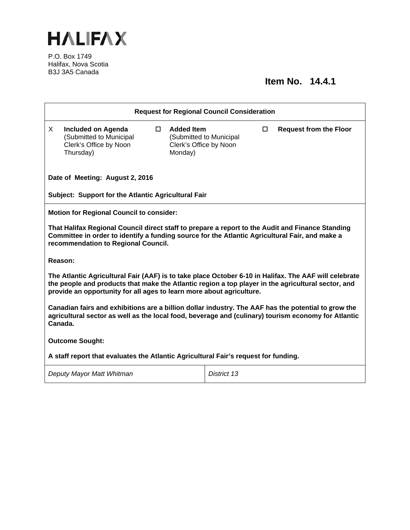

P.O. Box 1749 Halifax, Nova Scotia B3J 3A5 Canada

## **Item No. 14.4.1**

| <b>Request for Regional Council Consideration</b>                                                                                                                                                                                                                                   |                                                                                      |  |                                                        |                         |        |                               |  |
|-------------------------------------------------------------------------------------------------------------------------------------------------------------------------------------------------------------------------------------------------------------------------------------|--------------------------------------------------------------------------------------|--|--------------------------------------------------------|-------------------------|--------|-------------------------------|--|
| X.                                                                                                                                                                                                                                                                                  | Included on Agenda<br>(Submitted to Municipal<br>Clerk's Office by Noon<br>Thursday) |  | $\Box$ Added Item<br>Clerk's Office by Noon<br>Monday) | (Submitted to Municipal | $\Box$ | <b>Request from the Floor</b> |  |
| Date of Meeting: August 2, 2016                                                                                                                                                                                                                                                     |                                                                                      |  |                                                        |                         |        |                               |  |
| Subject: Support for the Atlantic Agricultural Fair                                                                                                                                                                                                                                 |                                                                                      |  |                                                        |                         |        |                               |  |
| <b>Motion for Regional Council to consider:</b>                                                                                                                                                                                                                                     |                                                                                      |  |                                                        |                         |        |                               |  |
| That Halifax Regional Council direct staff to prepare a report to the Audit and Finance Standing<br>Committee in order to identify a funding source for the Atlantic Agricultural Fair, and make a<br>recommendation to Regional Council.                                           |                                                                                      |  |                                                        |                         |        |                               |  |
| Reason:                                                                                                                                                                                                                                                                             |                                                                                      |  |                                                        |                         |        |                               |  |
| The Atlantic Agricultural Fair (AAF) is to take place October 6-10 in Halifax. The AAF will celebrate<br>the people and products that make the Atlantic region a top player in the agricultural sector, and<br>provide an opportunity for all ages to learn more about agriculture. |                                                                                      |  |                                                        |                         |        |                               |  |
| Canadian fairs and exhibitions are a billion dollar industry. The AAF has the potential to grow the<br>agricultural sector as well as the local food, beverage and (culinary) tourism economy for Atlantic<br>Canada.                                                               |                                                                                      |  |                                                        |                         |        |                               |  |
| <b>Outcome Sought:</b>                                                                                                                                                                                                                                                              |                                                                                      |  |                                                        |                         |        |                               |  |
| A staff report that evaluates the Atlantic Agricultural Fair's request for funding.                                                                                                                                                                                                 |                                                                                      |  |                                                        |                         |        |                               |  |
| Deputy Mayor Matt Whitman                                                                                                                                                                                                                                                           |                                                                                      |  |                                                        | District 13             |        |                               |  |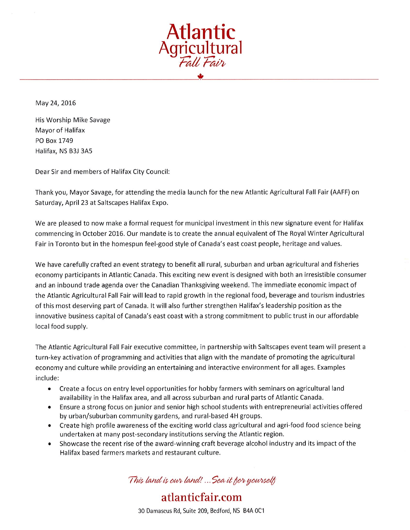

May 24, 2016

His Worship Mike Savage Mayor of Halifax PO Box 1749 Halifax, NS B3J 3A5

Dear Sir and members of Halifax City Council:

Thank you, Mayor Savage, for attending the media launch for the new Atlantic Agricultural Fall Fair (AAFF) on Saturday, April 23 at Saltscapes Halifax Expo.

We are pleased to now make a formal request for municipal investment in this new signature event for Halifax commencing in October 2016. Our mandate is to create the annual equivalent of The Royal Winter Agricultural Fair in Toronto but in the homespun feel-good style of Canada's east coast people, heritage and values.

We have carefully crafted an event strategy to benefit all rural, suburban and urban agricultural and fisheries economy participants in Atlantic Canada. This exciting new event is designed with both an irresistible consumer and an inbound trade agenda over the Canadian Thanksgiving weekend. The immediate economic impact of the Atlantic Agricultural Fall Fair will lead to rapid growth in the regional food, beverage and tourism industries of this most deserving part of Canada. It will also further strengthen Halifax's leadership position as the innovative business capital of Canada's east coast with a strong commitment to public trust in our affordable local food supply.

The Atlantic Agricultural Fall Fair executive committee, in partnership with Saltscapes event team will present a turn-key activation of programming and activities that align with the mandate of promoting the agricultural economy and culture while providing an entertaining and interactive environment for all ages. Examples include:

- $\bullet$ Create a focus on entry level opportunities for hobby farmers with seminars on agricultural land availability in the Halifax area, and all across suburban and rural parts of Atlantic Canada.
- Ensure a strong focus on junior and senior high school students with entrepreneurial activities offered  $\bullet$ by urban/suburban community gardens, and rural-based 4H groups.
- Create high profile awareness of the exciting world class agricultural and agri-food food science being  $\bullet$ undertaken at many post-secondary institutions serving the Atlantic region.
- Showcase the recent rise of the award-winning craft beverage alcohol industry and its impact of the  $\bullet$ Halifax based farmers markets and restaurant culture.

This land is our land! ... Sea it for yourself

30 Damascus Rd, Suite 209, Bedford, NS B4A 0C1

atlanticfair.com